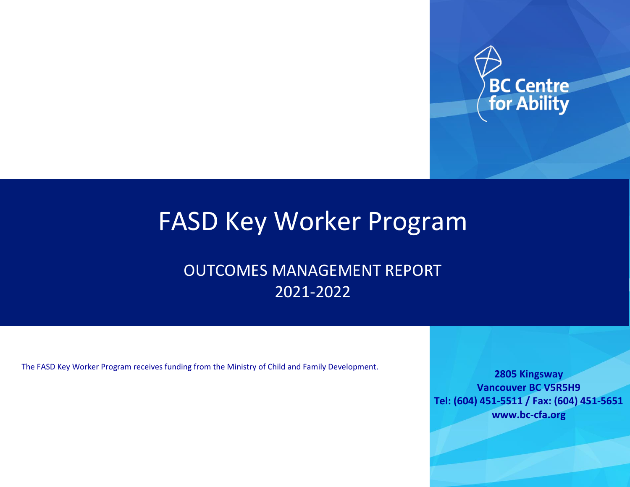

# FASD Key Worker Program

OUTCOMES MANAGEMENT REPORT 2021-2022

The FASD Key Worker Program receives funding from the Ministry of Child and Family Development.

**2805 Kingsway Vancouver BC V5R5H9 Tel: (604) 451-5511 / Fax: (604) 451-5651 www.bc-cfa.org**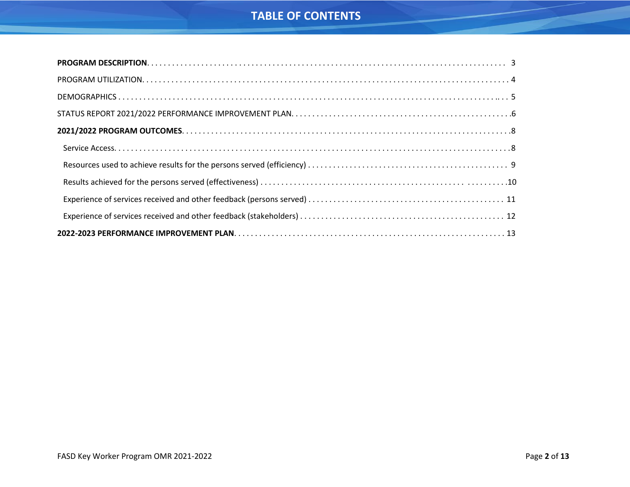# **TABLE OF CONTENTS**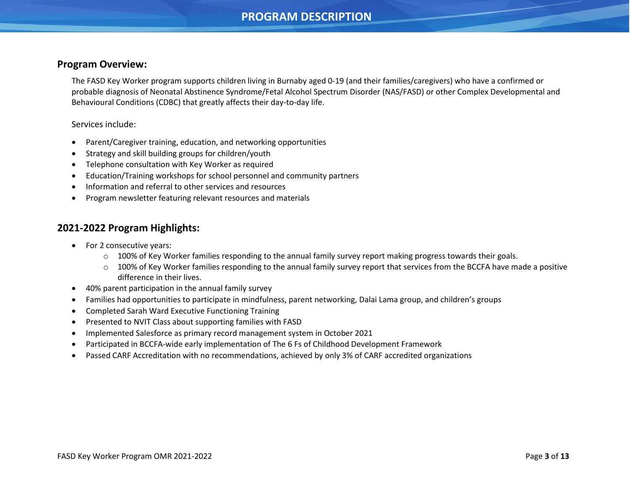## **PROGRAM DESCRIPTION**

#### <span id="page-2-0"></span>**Program Overview:**

The FASD Key Worker program supports children living in Burnaby aged 0-19 (and their families/caregivers) who have a confirmed or probable diagnosis of Neonatal Abstinence Syndrome/Fetal Alcohol Spectrum Disorder (NAS/FASD) or other Complex Developmental and Behavioural Conditions (CDBC) that greatly affects their day-to-day life.

#### Services include:

- Parent/Caregiver training, education, and networking opportunities
- Strategy and skill building groups for children/youth
- Telephone consultation with Key Worker as required
- Education/Training workshops for school personnel and community partners
- Information and referral to other services and resources
- Program newsletter featuring relevant resources and materials

#### **2021-2022 Program Highlights:**

- For 2 consecutive years:
	- $\circ$  100% of Key Worker families responding to the annual family survey report making progress towards their goals.
	- o 100% of Key Worker families responding to the annual family survey report that services from the BCCFA have made a positive difference in their lives.
- 40% parent participation in the annual family survey
- Families had opportunities to participate in mindfulness, parent networking, Dalai Lama group, and children's groups
- Completed Sarah Ward Executive Functioning Training
- Presented to NVIT Class about supporting families with FASD
- Implemented Salesforce as primary record management system in October 2021
- Participated in BCCFA-wide early implementation of The 6 Fs of Childhood Development Framework
- Passed CARF Accreditation with no recommendations, achieved by only 3% of CARF accredited organizations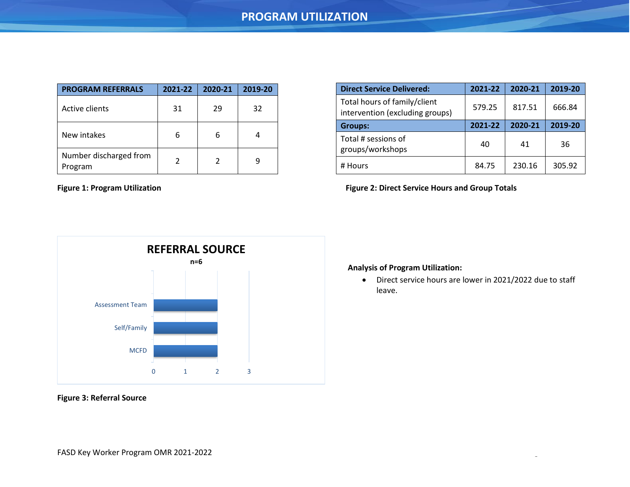<span id="page-3-0"></span>

| <b>PROGRAM REFERRALS</b>          | 2021-22 | 2020-21 | 2019-20 |
|-----------------------------------|---------|---------|---------|
| Active clients                    | 31      | 29      | 32      |
| New intakes                       | 6       | 6       |         |
| Number discharged from<br>Program | 2       | 2       |         |

| <b>Direct Service Delivered:</b>                                | 2021-22 | 2020-21 | 2019-20 |
|-----------------------------------------------------------------|---------|---------|---------|
| Total hours of family/client<br>intervention (excluding groups) | 579.25  | 817.51  | 666.84  |
| <b>Groups:</b>                                                  | 2021-22 | 2020-21 | 2019-20 |
| Total # sessions of<br>groups/workshops                         | 40      | 41      | 36      |
| # Hours                                                         | 84.75   | 230.16  | 305.92  |

Figure 1: Program Utilization **Figure 2: Direct Service Hours and Group Totals** 



# **Analysis of Program Utilization:**

• Direct service hours are lower in 2021/2022 due to staff leave.

**Figure 3: Referral Source**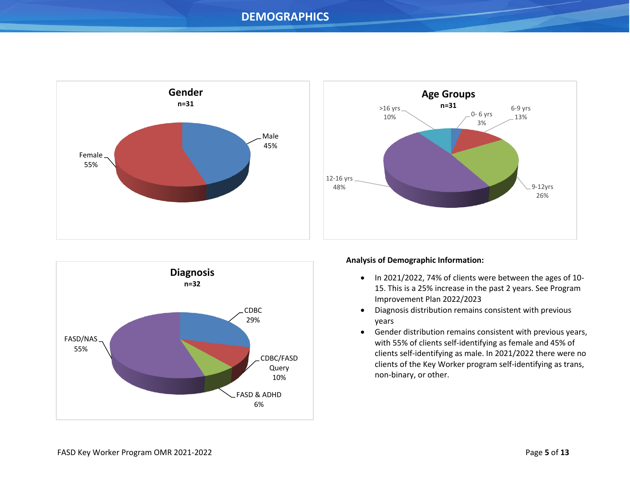## **DEMOGRAPHICS**

<span id="page-4-0"></span>





#### **Analysis of Demographic Information:**

- In 2021/2022, 74% of clients were between the ages of 10- 15. This is a 25% increase in the past 2 years. See Program Improvement Plan 2022/2023
- Diagnosis distribution remains consistent with previous years
- Gender distribution remains consistent with previous years, with 55% of clients self-identifying as female and 45% of clients self-identifying as male. In 2021/2022 there were no clients of the Key Worker program self-identifying as trans, non-binary, or other.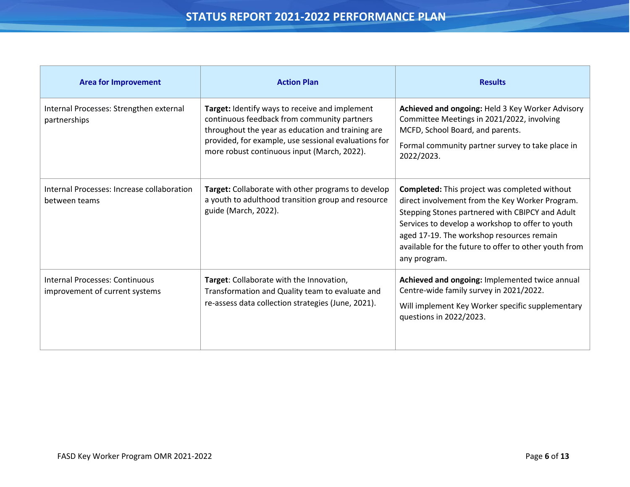<span id="page-5-0"></span>

| <b>Area for Improvement</b>                                             | <b>Action Plan</b>                                                                                                                                                                                                                                        | <b>Results</b>                                                                                                                                                                                                                                                                                                                       |
|-------------------------------------------------------------------------|-----------------------------------------------------------------------------------------------------------------------------------------------------------------------------------------------------------------------------------------------------------|--------------------------------------------------------------------------------------------------------------------------------------------------------------------------------------------------------------------------------------------------------------------------------------------------------------------------------------|
| Internal Processes: Strengthen external<br>partnerships                 | Target: Identify ways to receive and implement<br>continuous feedback from community partners<br>throughout the year as education and training are<br>provided, for example, use sessional evaluations for<br>more robust continuous input (March, 2022). | Achieved and ongoing: Held 3 Key Worker Advisory<br>Committee Meetings in 2021/2022, involving<br>MCFD, School Board, and parents.<br>Formal community partner survey to take place in<br>2022/2023.                                                                                                                                 |
| Internal Processes: Increase collaboration<br>between teams             | Target: Collaborate with other programs to develop<br>a youth to adulthood transition group and resource<br>guide (March, 2022).                                                                                                                          | <b>Completed:</b> This project was completed without<br>direct involvement from the Key Worker Program.<br>Stepping Stones partnered with CBIPCY and Adult<br>Services to develop a workshop to offer to youth<br>aged 17-19. The workshop resources remain<br>available for the future to offer to other youth from<br>any program. |
| <b>Internal Processes: Continuous</b><br>improvement of current systems | Target: Collaborate with the Innovation,<br>Transformation and Quality team to evaluate and<br>re-assess data collection strategies (June, 2021).                                                                                                         | Achieved and ongoing: Implemented twice annual<br>Centre-wide family survey in 2021/2022.<br>Will implement Key Worker specific supplementary<br>questions in 2022/2023.                                                                                                                                                             |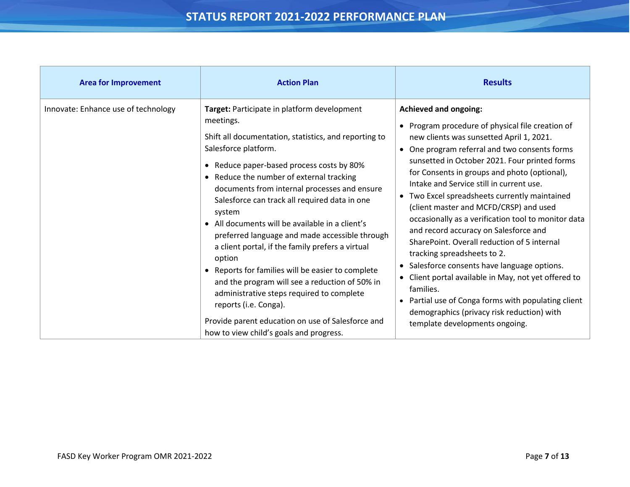| <b>Area for Improvement</b>         | <b>Action Plan</b>                                                                                                                                                                                                                                                                                                                                                                                                                                                                                                                                                                                                                                                                                                                                                                                       | <b>Results</b>                                                                                                                                                                                                                                                                                                                                                                                                                                                                                                                                                                                                                                                                                                                                                                                                                                                                             |
|-------------------------------------|----------------------------------------------------------------------------------------------------------------------------------------------------------------------------------------------------------------------------------------------------------------------------------------------------------------------------------------------------------------------------------------------------------------------------------------------------------------------------------------------------------------------------------------------------------------------------------------------------------------------------------------------------------------------------------------------------------------------------------------------------------------------------------------------------------|--------------------------------------------------------------------------------------------------------------------------------------------------------------------------------------------------------------------------------------------------------------------------------------------------------------------------------------------------------------------------------------------------------------------------------------------------------------------------------------------------------------------------------------------------------------------------------------------------------------------------------------------------------------------------------------------------------------------------------------------------------------------------------------------------------------------------------------------------------------------------------------------|
| Innovate: Enhance use of technology | Target: Participate in platform development<br>meetings.<br>Shift all documentation, statistics, and reporting to<br>Salesforce platform.<br>• Reduce paper-based process costs by 80%<br>• Reduce the number of external tracking<br>documents from internal processes and ensure<br>Salesforce can track all required data in one<br>system<br>• All documents will be available in a client's<br>preferred language and made accessible through<br>a client portal, if the family prefers a virtual<br>option<br>Reports for families will be easier to complete<br>$\bullet$<br>and the program will see a reduction of 50% in<br>administrative steps required to complete<br>reports (i.e. Conga).<br>Provide parent education on use of Salesforce and<br>how to view child's goals and progress. | <b>Achieved and ongoing:</b><br>Program procedure of physical file creation of<br>new clients was sunsetted April 1, 2021.<br>One program referral and two consents forms<br>$\bullet$<br>sunsetted in October 2021. Four printed forms<br>for Consents in groups and photo (optional),<br>Intake and Service still in current use.<br>Two Excel spreadsheets currently maintained<br>$\bullet$<br>(client master and MCFD/CRSP) and used<br>occasionally as a verification tool to monitor data<br>and record accuracy on Salesforce and<br>SharePoint. Overall reduction of 5 internal<br>tracking spreadsheets to 2.<br>Salesforce consents have language options.<br>$\bullet$<br>Client portal available in May, not yet offered to<br>families.<br>Partial use of Conga forms with populating client<br>demographics (privacy risk reduction) with<br>template developments ongoing. |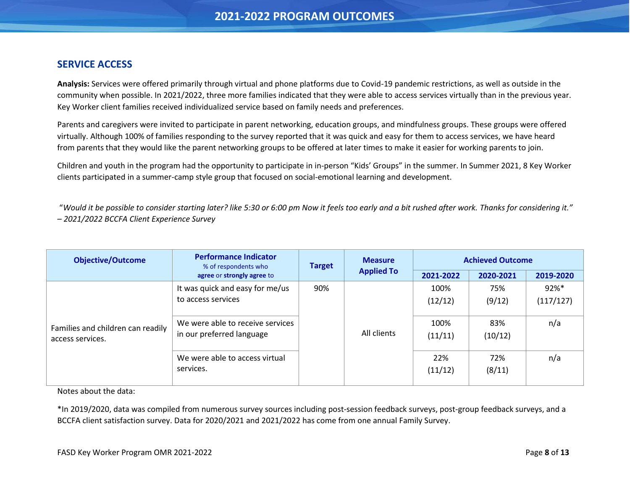### <span id="page-7-0"></span>**SERVICE ACCESS**

**Analysis:** Services were offered primarily through virtual and phone platforms due to Covid-19 pandemic restrictions, as well as outside in the community when possible. In 2021/2022, three more families indicated that they were able to access services virtually than in the previous year. Key Worker client families received individualized service based on family needs and preferences.

Parents and caregivers were invited to participate in parent networking, education groups, and mindfulness groups. These groups were offered virtually. Although 100% of families responding to the survey reported that it was quick and easy for them to access services, we have heard from parents that they would like the parent networking groups to be offered at later times to make it easier for working parents to join.

Children and youth in the program had the opportunity to participate in in-person "Kids' Groups" in the summer. In Summer 2021, 8 Key Worker clients participated in a summer-camp style group that focused on social-emotional learning and development.

"*Would it be possible to consider starting later? like 5:30 or 6:00 pm Now it feels too early and a bit rushed after work. Thanks for considering it." – 2021/2022 BCCFA Client Experience Survey*

| <b>Objective/Outcome</b>                              | <b>Performance Indicator</b><br>% of respondents who          | <b>Target</b> |                   | <b>Measure</b>  |                | <b>Achieved Outcome</b> |  |  |
|-------------------------------------------------------|---------------------------------------------------------------|---------------|-------------------|-----------------|----------------|-------------------------|--|--|
|                                                       | agree or strongly agree to                                    |               | <b>Applied To</b> | 2021-2022       | 2020-2021      | 2019-2020               |  |  |
|                                                       | It was quick and easy for me/us                               | 90%           |                   | 100%            | 75%            | $92%$ *                 |  |  |
|                                                       | to access services                                            |               |                   | (12/12)         | (9/12)         | (117/127)               |  |  |
| Families and children can readily<br>access services. | We were able to receive services<br>in our preferred language |               | All clients       | 100%<br>(11/11) | 83%<br>(10/12) | n/a                     |  |  |
|                                                       | We were able to access virtual<br>services.                   |               |                   | 22%<br>(11/12)  | 72%<br>(8/11)  | n/a                     |  |  |

Notes about the data:

<span id="page-7-1"></span>\*In 2019/2020, data was compiled from numerous survey sources including post-session feedback surveys, post-group feedback surveys, and a BCCFA client satisfaction survey. Data for 2020/2021 and 2021/2022 has come from one annual Family Survey.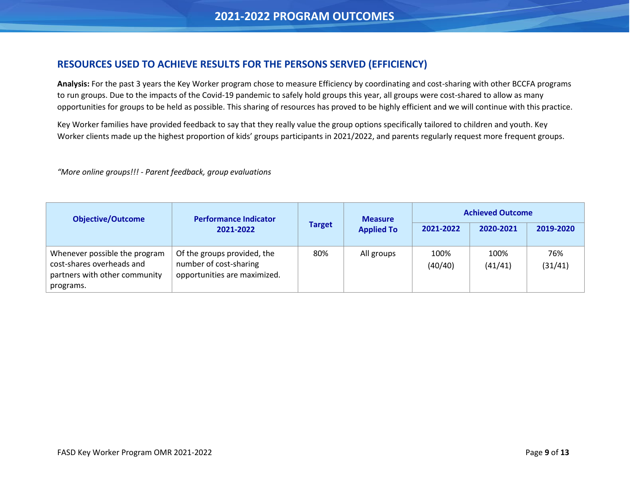## **RESOURCES USED TO ACHIEVE RESULTS FOR THE PERSONS SERVED (EFFICIENCY)**

**Analysis:** For the past 3 years the Key Worker program chose to measure Efficiency by coordinating and cost-sharing with other BCCFA programs to run groups. Due to the impacts of the Covid-19 pandemic to safely hold groups this year, all groups were cost-shared to allow as many opportunities for groups to be held as possible. This sharing of resources has proved to be highly efficient and we will continue with this practice.

Key Worker families have provided feedback to say that they really value the group options specifically tailored to children and youth. Key Worker clients made up the highest proportion of kids' groups participants in 2021/2022, and parents regularly request more frequent groups.

*"More online groups!!! - Parent feedback, group evaluations*

| <b>Objective/Outcome</b><br><b>Performance Indicator</b>                                                 | <b>Measure</b>                                                                        |               | <b>Achieved Outcome</b> |                 |                 |                |
|----------------------------------------------------------------------------------------------------------|---------------------------------------------------------------------------------------|---------------|-------------------------|-----------------|-----------------|----------------|
|                                                                                                          | 2021-2022                                                                             | <b>Target</b> | <b>Applied To</b>       | 2021-2022       | 2020-2021       | 2019-2020      |
| Whenever possible the program<br>cost-shares overheads and<br>partners with other community<br>programs. | Of the groups provided, the<br>number of cost-sharing<br>opportunities are maximized. | 80%           | All groups              | 100%<br>(40/40) | 100%<br>(41/41) | 76%<br>(31/41) |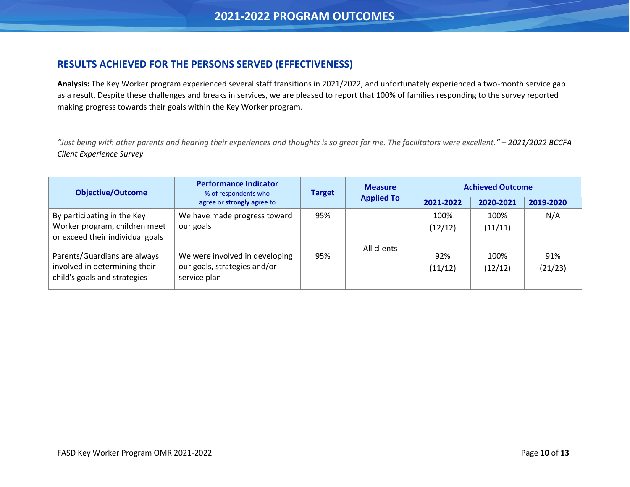## <span id="page-9-0"></span>**RESULTS ACHIEVED FOR THE PERSONS SERVED (EFFECTIVENESS)**

**Analysis:** The Key Worker program experienced several staff transitions in 2021/2022, and unfortunately experienced a two-month service gap as a result. Despite these challenges and breaks in services, we are pleased to report that 100% of families responding to the survey reported making progress towards their goals within the Key Worker program.

*"Just being with other parents and hearing their experiences and thoughts is so great for me. The facilitators were excellent." – 2021/2022 BCCFA Client Experience Survey*

<span id="page-9-1"></span>

| <b>Objective/Outcome</b>                                                                         | <b>Performance Indicator</b><br>% of respondents who                           |     | <b>Measure</b><br><b>Target</b> |                 | <b>Achieved Outcome</b> |                |
|--------------------------------------------------------------------------------------------------|--------------------------------------------------------------------------------|-----|---------------------------------|-----------------|-------------------------|----------------|
|                                                                                                  | agree or strongly agree to                                                     |     | <b>Applied To</b>               | 2021-2022       | 2020-2021               | 2019-2020      |
| By participating in the Key<br>Worker program, children meet<br>or exceed their individual goals | We have made progress toward<br>our goals                                      | 95% |                                 | 100%<br>(12/12) | 100%<br>(11/11)         | N/A            |
| Parents/Guardians are always<br>involved in determining their<br>child's goals and strategies    | We were involved in developing<br>our goals, strategies and/or<br>service plan | 95% | All clients                     | 92%<br>(11/12)  | 100%<br>(12/12)         | 91%<br>(21/23) |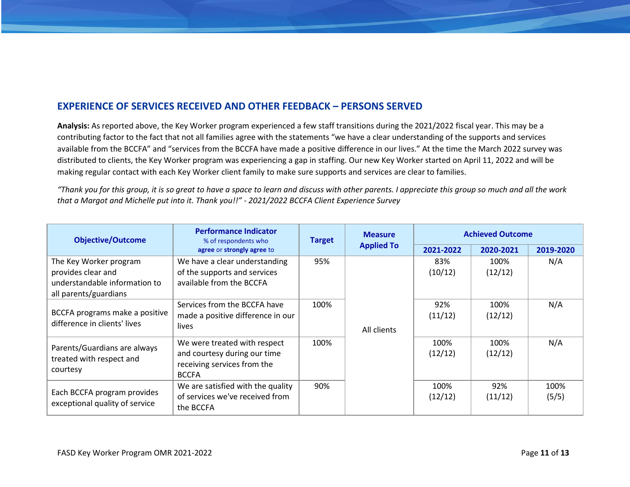## **EXPERIENCE OF SERVICES RECEIVED AND OTHER FEEDBACK – PERSONS SERVED**

**Analysis:** As reported above, the Key Worker program experienced a few staff transitions during the 2021/2022 fiscal year. This may be a contributing factor to the fact that not all families agree with the statements "we have a clear understanding of the supports and services available from the BCCFA" and "services from the BCCFA have made a positive difference in our lives." At the time the March 2022 survey was distributed to clients, the Key Worker program was experiencing a gap in staffing. Our new Key Worker started on April 11, 2022 and will be making regular contact with each Key Worker client family to make sure supports and services are clear to families.

*"Thank you for this group, it is so great to have a space to learn and discuss with other parents. I appreciate this group so much and all the work that a Margot and Michelle put into it. Thank you!!" - 2021/2022 BCCFA Client Experience Survey*

| <b>Objective/Outcome</b>                                                                               | <b>Performance Indicator</b><br>% of respondents who                                                        | <b>Target</b> |                   | <b>Measure</b>  |                 | <b>Achieved Outcome</b> |  |
|--------------------------------------------------------------------------------------------------------|-------------------------------------------------------------------------------------------------------------|---------------|-------------------|-----------------|-----------------|-------------------------|--|
|                                                                                                        | agree or strongly agree to                                                                                  |               | <b>Applied To</b> | 2021-2022       | 2020-2021       | 2019-2020               |  |
| The Key Worker program<br>provides clear and<br>understandable information to<br>all parents/guardians | We have a clear understanding<br>of the supports and services<br>available from the BCCFA                   | 95%           |                   | 83%<br>(10/12)  | 100%<br>(12/12) | N/A                     |  |
| BCCFA programs make a positive<br>difference in clients' lives                                         | Services from the BCCFA have<br>made a positive difference in our<br>lives                                  | 100%          | All clients       | 92%<br>(11/12)  | 100%<br>(12/12) | N/A                     |  |
| Parents/Guardians are always<br>treated with respect and<br>courtesy                                   | We were treated with respect<br>and courtesy during our time<br>receiving services from the<br><b>BCCFA</b> | 100%          |                   | 100%<br>(12/12) | 100%<br>(12/12) | N/A                     |  |
| Each BCCFA program provides<br>exceptional quality of service                                          | We are satisfied with the quality<br>of services we've received from<br>the BCCFA                           | 90%           |                   | 100%<br>(12/12) | 92%<br>(11/12)  | 100%<br>(5/5)           |  |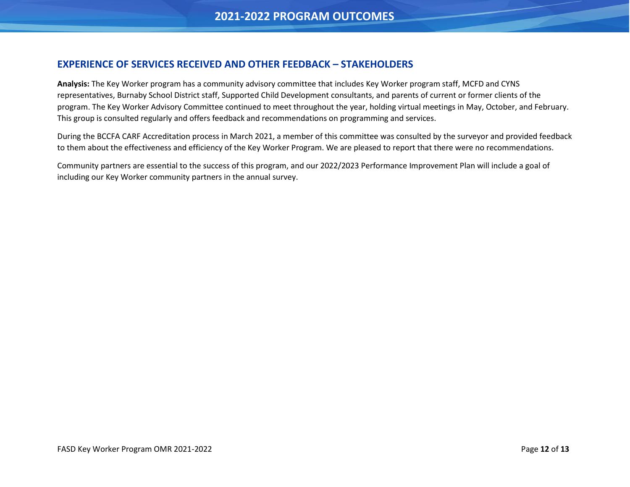## **EXPERIENCE OF SERVICES RECEIVED AND OTHER FEEDBACK – STAKEHOLDERS**

**Analysis:** The Key Worker program has a community advisory committee that includes Key Worker program staff, MCFD and CYNS representatives, Burnaby School District staff, Supported Child Development consultants, and parents of current or former clients of the program. The Key Worker Advisory Committee continued to meet throughout the year, holding virtual meetings in May, October, and February. This group is consulted regularly and offers feedback and recommendations on programming and services.

During the BCCFA CARF Accreditation process in March 2021, a member of this committee was consulted by the surveyor and provided feedback to them about the effectiveness and efficiency of the Key Worker Program. We are pleased to report that there were no recommendations.

Community partners are essential to the success of this program, and our 2022/2023 Performance Improvement Plan will include a goal of including our Key Worker community partners in the annual survey.